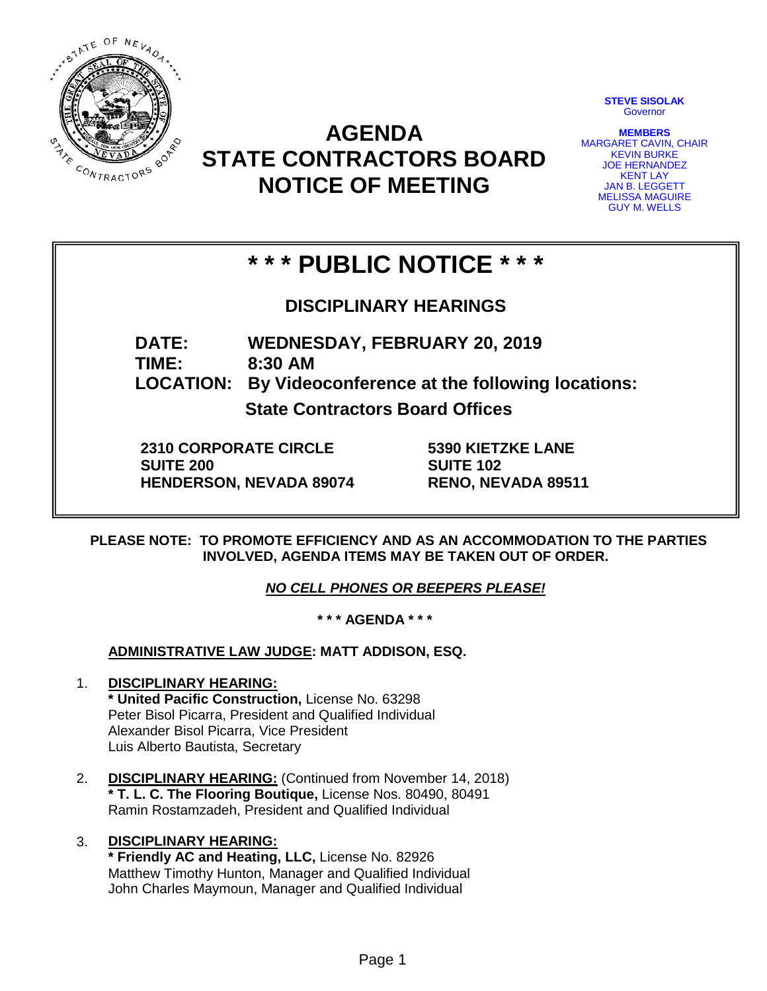

**AGENDA STATE CONTRACTORS BOARD NOTICE OF MEETING**

**STEVE SISOLAK Governor** 

**MEMBERS** MARGARET CAVIN, CHAIR KEVIN BURKE JOE HERNANDEZ KENT LAY JAN B. LEGGETT MELISSA MAGUIRE GUY M. WELLS

# **\* \* \* PUBLIC NOTICE \* \* \***

**DISCIPLINARY HEARINGS**

**DATE: WEDNESDAY, FEBRUARY 20, 2019 TIME: 8:30 AM LOCATION: By Videoconference at the following locations:**

**State Contractors Board Offices**

**2310 CORPORATE CIRCLE SUITE 200 HENDERSON, NEVADA 89074** **5390 KIETZKE LANE SUITE 102 RENO, NEVADA 89511**

**PLEASE NOTE: TO PROMOTE EFFICIENCY AND AS AN ACCOMMODATION TO THE PARTIES INVOLVED, AGENDA ITEMS MAY BE TAKEN OUT OF ORDER.**

*NO CELL PHONES OR BEEPERS PLEASE!* 

**\* \* \* AGENDA \* \* \***

**ADMINISTRATIVE LAW JUDGE: MATT ADDISON, ESQ.** 

- 1. **DISCIPLINARY HEARING: \* United Pacific Construction,** License No. 63298 Peter Bisol Picarra, President and Qualified Individual Alexander Bisol Picarra, Vice President Luis Alberto Bautista, Secretary
- 2. **DISCIPLINARY HEARING:** (Continued from November 14, 2018) **\* T. L. C. The Flooring Boutique,** License Nos. 80490, 80491 Ramin Rostamzadeh, President and Qualified Individual
- 3. **DISCIPLINARY HEARING: \* Friendly AC and Heating, LLC,** License No. 82926 Matthew Timothy Hunton, Manager and Qualified Individual John Charles Maymoun, Manager and Qualified Individual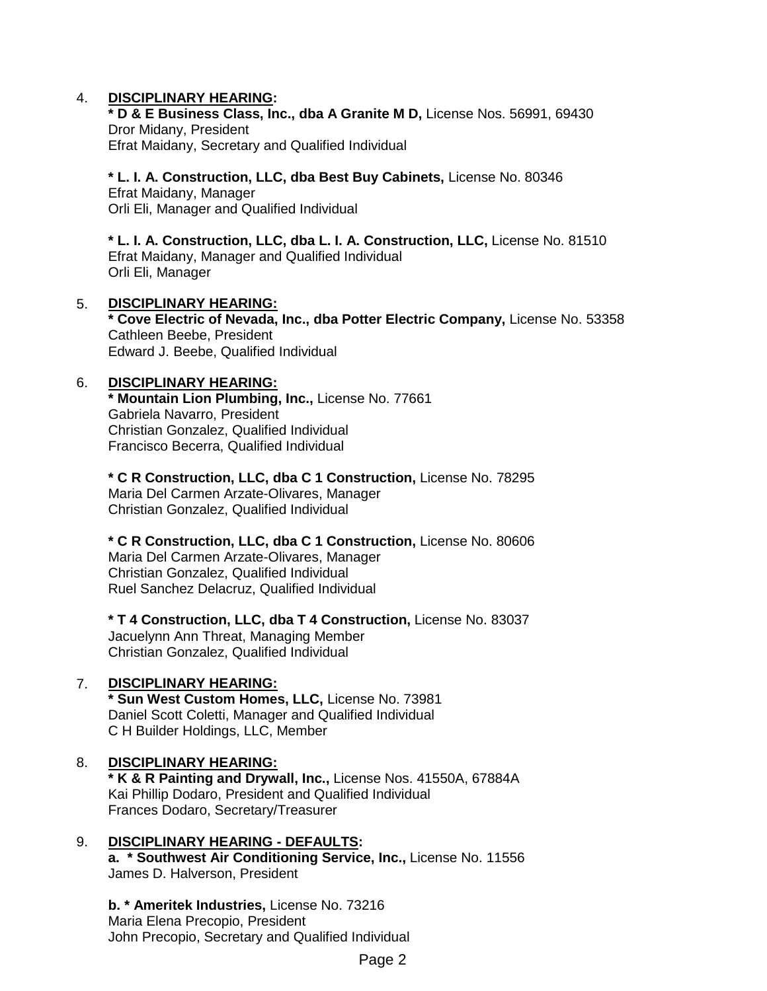# 4. **DISCIPLINARY HEARING:**

**\* D & E Business Class, Inc., dba A Granite M D,** License Nos. 56991, 69430 Dror Midany, President Efrat Maidany, Secretary and Qualified Individual

**\* L. I. A. Construction, LLC, dba Best Buy Cabinets,** License No. 80346 Efrat Maidany, Manager Orli Eli, Manager and Qualified Individual

**\* L. I. A. Construction, LLC, dba L. I. A. Construction, LLC,** License No. 81510 Efrat Maidany, Manager and Qualified Individual Orli Eli, Manager

# 5. **DISCIPLINARY HEARING:**

**\* Cove Electric of Nevada, Inc., dba Potter Electric Company,** License No. 53358 Cathleen Beebe, President Edward J. Beebe, Qualified Individual

# 6. **DISCIPLINARY HEARING:**

**\* Mountain Lion Plumbing, Inc.,** License No. 77661 Gabriela Navarro, President Christian Gonzalez, Qualified Individual Francisco Becerra, Qualified Individual

**\* C R Construction, LLC, dba C 1 Construction,** License No. 78295 Maria Del Carmen Arzate-Olivares, Manager Christian Gonzalez, Qualified Individual

#### **\* C R Construction, LLC, dba C 1 Construction,** License No. 80606

Maria Del Carmen Arzate-Olivares, Manager Christian Gonzalez, Qualified Individual Ruel Sanchez Delacruz, Qualified Individual

**\* T 4 Construction, LLC, dba T 4 Construction,** License No. 83037 Jacuelynn Ann Threat, Managing Member Christian Gonzalez, Qualified Individual

# 7. **DISCIPLINARY HEARING:**

**\* Sun West Custom Homes, LLC,** License No. 73981 Daniel Scott Coletti, Manager and Qualified Individual C H Builder Holdings, LLC, Member

#### 8. **DISCIPLINARY HEARING:**

**\* K & R Painting and Drywall, Inc.,** License Nos. 41550A, 67884A Kai Phillip Dodaro, President and Qualified Individual Frances Dodaro, Secretary/Treasurer

# 9. **DISCIPLINARY HEARING - DEFAULTS:**

**a. \* Southwest Air Conditioning Service, Inc.,** License No. 11556 James D. Halverson, President

**b. \* Ameritek Industries,** License No. 73216 Maria Elena Precopio, President John Precopio, Secretary and Qualified Individual